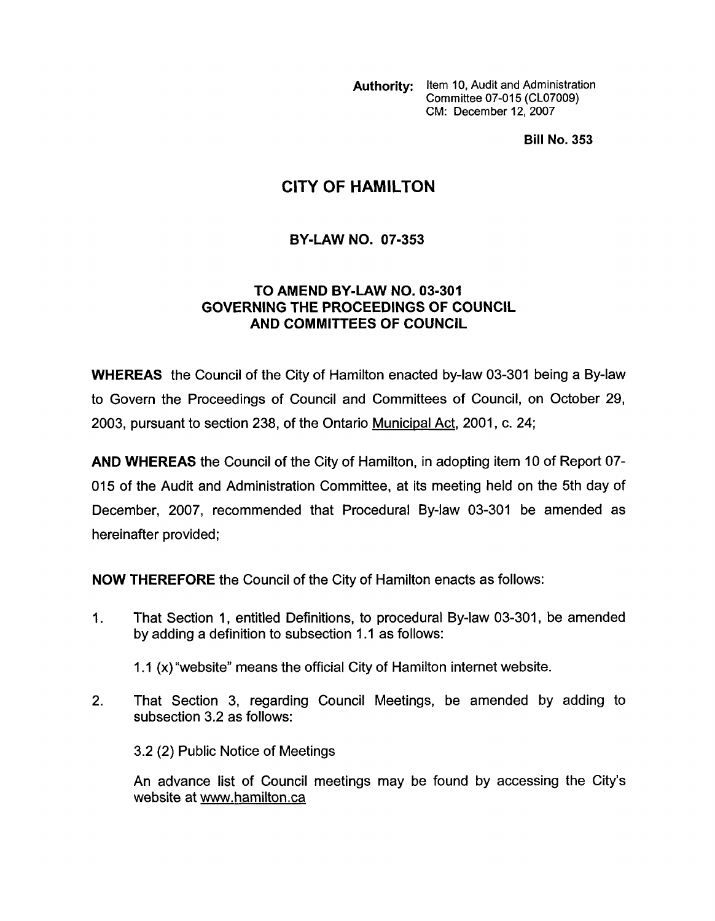**Authority:** Item 10, Audit and Administration Committee 07-015 (CL07009) CM: December 12,2007

**Bill No. 353** 

## **CITY OF HAMILTON**

## **BY-LAW NO. 07-353**

## **TO AMEND BY-LAW NO. 03-301 GOVERNING THE PROCEEDINGS OF COUNCIL AND COMMITTEES OF COUNCIL**

**WHEREAS** the Council of the City of Hamilton enacted by-law 03-301 being a By-law to Govern the Proceedings of Council and Committees of Council, on October 29, 2003, pursuant to section 238, of the Ontario Municipal Act, 2001, c. **24;** 

**AND WHEREAS** the Council of the City of Hamilton, in adopting item 10 of Report **07-**  015 of the Audit and Administration Committee, at its meeting held on the 5th day of December, 2007, recommended that Procedural By-law 03-301 be amended as hereinafter provided;

**NOW THEREFORE** the Council of the City of Hamilton enacts as follows:

1. That Section 1 , entitled Definitions, to procedural By-law 03-301, be amended by adding a definition to subsection 1.1 as follows:

1 .I (x)"website" means the official City of Hamilton internet website.

2. That Section 3, regarding Council Meetings, be amended by adding to subsection 3.2 as follows:

3.2 (2) Public Notice of Meetings

An advance list of Council meetings may be found by accessing the City's website at www.hamilton.ca